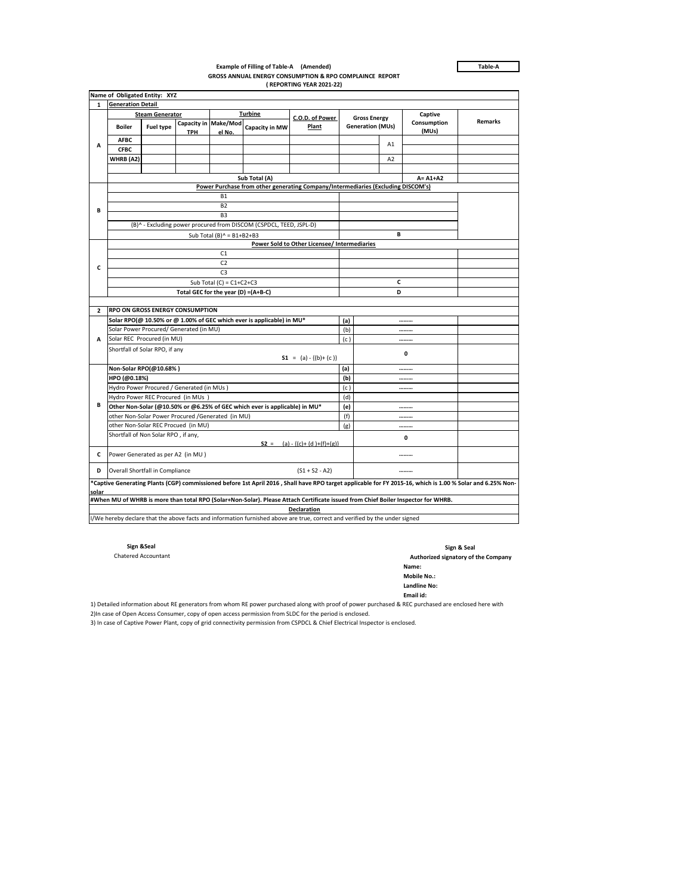**Table-A**

## **Example of Filling of Table-A (Amended) GROSS ANNUAL ENERGY CONSUMPTION & RPO COMPLAINCE REPORT ( REPORTING YEAR 2021-22)**

|                                                                                                                                                                      |                                                                                  | Name of Obligated Entity: XYZ                                      |                                                   |                                                                            |                |                                                                                                                             |                     |                         |                |                      |         |  |  |
|----------------------------------------------------------------------------------------------------------------------------------------------------------------------|----------------------------------------------------------------------------------|--------------------------------------------------------------------|---------------------------------------------------|----------------------------------------------------------------------------|----------------|-----------------------------------------------------------------------------------------------------------------------------|---------------------|-------------------------|----------------|----------------------|---------|--|--|
| <b>Generation Detail</b><br>$\mathbf{1}$                                                                                                                             |                                                                                  |                                                                    |                                                   |                                                                            |                |                                                                                                                             |                     |                         |                |                      |         |  |  |
|                                                                                                                                                                      |                                                                                  | <b>Steam Generator</b>                                             |                                                   |                                                                            | <b>Turbine</b> | C.O.D. of Power                                                                                                             | <b>Gross Energy</b> |                         | Captive        |                      |         |  |  |
| А                                                                                                                                                                    | <b>Boiler</b>                                                                    | <b>Fuel type</b><br><b>TPH</b>                                     |                                                   | Capacity in Make/Mod<br>Capacity in MW<br>el No.                           |                | Plant                                                                                                                       |                     | <b>Generation (MUs)</b> |                | Consumption<br>(MUs) | Remarks |  |  |
|                                                                                                                                                                      | <b>AFBC</b>                                                                      |                                                                    |                                                   |                                                                            |                |                                                                                                                             |                     |                         | A1             |                      |         |  |  |
|                                                                                                                                                                      | <b>CFBC</b>                                                                      |                                                                    |                                                   |                                                                            |                |                                                                                                                             |                     |                         |                |                      |         |  |  |
|                                                                                                                                                                      | WHRB (A2)                                                                        |                                                                    |                                                   |                                                                            |                |                                                                                                                             |                     |                         | A <sub>2</sub> |                      |         |  |  |
|                                                                                                                                                                      |                                                                                  |                                                                    |                                                   |                                                                            |                |                                                                                                                             |                     |                         |                |                      |         |  |  |
|                                                                                                                                                                      | Sub Total (A)                                                                    |                                                                    |                                                   |                                                                            |                |                                                                                                                             |                     |                         |                | $A = A1+A2$          |         |  |  |
|                                                                                                                                                                      | Power Purchase from other generating Company/Intermediaries (Excluding DISCOM's) |                                                                    |                                                   |                                                                            |                |                                                                                                                             |                     |                         |                |                      |         |  |  |
|                                                                                                                                                                      |                                                                                  |                                                                    | <b>B1</b>                                         |                                                                            |                |                                                                                                                             |                     |                         |                |                      |         |  |  |
| В                                                                                                                                                                    |                                                                                  |                                                                    | <b>B2</b><br>B <sub>3</sub>                       |                                                                            |                |                                                                                                                             |                     |                         |                |                      |         |  |  |
|                                                                                                                                                                      |                                                                                  |                                                                    |                                                   |                                                                            |                |                                                                                                                             |                     |                         |                |                      |         |  |  |
|                                                                                                                                                                      |                                                                                  | (B)^ - Excluding power procured from DISCOM (CSPDCL, TEED, JSPL-D) |                                                   |                                                                            |                |                                                                                                                             |                     |                         |                |                      |         |  |  |
|                                                                                                                                                                      |                                                                                  | Sub Total (B) $^{\wedge}$ = B1+B2+B3                               |                                                   |                                                                            |                |                                                                                                                             |                     |                         |                |                      |         |  |  |
|                                                                                                                                                                      | Power Sold to Other Licensee/ Intermediaries<br>C1                               |                                                                    |                                                   |                                                                            |                |                                                                                                                             |                     |                         |                |                      |         |  |  |
|                                                                                                                                                                      |                                                                                  |                                                                    | C <sub>2</sub>                                    |                                                                            |                |                                                                                                                             |                     |                         |                |                      |         |  |  |
| c                                                                                                                                                                    |                                                                                  |                                                                    | C <sub>3</sub>                                    |                                                                            |                |                                                                                                                             |                     |                         |                |                      |         |  |  |
|                                                                                                                                                                      | Sub Total (C) = $C1+C2+C3$                                                       |                                                                    |                                                   |                                                                            |                |                                                                                                                             |                     |                         |                |                      |         |  |  |
|                                                                                                                                                                      |                                                                                  |                                                                    |                                                   |                                                                            |                |                                                                                                                             |                     |                         |                |                      |         |  |  |
|                                                                                                                                                                      | Total GEC for the year (D) =(A+B-C)<br>D                                         |                                                                    |                                                   |                                                                            |                |                                                                                                                             |                     |                         |                |                      |         |  |  |
| $\mathbf{2}$                                                                                                                                                         | <b>RPO ON GROSS ENERGY CONSUMPTION</b>                                           |                                                                    |                                                   |                                                                            |                |                                                                                                                             |                     |                         |                |                      |         |  |  |
|                                                                                                                                                                      |                                                                                  |                                                                    |                                                   | Solar RPO(@ 10.50% or @ 1.00% of GEC which ever is applicable) in MU*      | (a)            |                                                                                                                             |                     |                         |                |                      |         |  |  |
|                                                                                                                                                                      | Solar Power Procured/ Generated (in MU)                                          |                                                                    |                                                   |                                                                            |                |                                                                                                                             |                     |                         |                |                      |         |  |  |
| A                                                                                                                                                                    | Solar REC Procured (in MU)                                                       |                                                                    |                                                   |                                                                            |                | (c)                                                                                                                         |                     |                         |                |                      |         |  |  |
|                                                                                                                                                                      | Shortfall of Solar RPO, if any<br>$S1 = (a) - \{(b) + (c)\}$                     |                                                                    |                                                   |                                                                            |                |                                                                                                                             |                     |                         | 0              |                      |         |  |  |
|                                                                                                                                                                      | Non-Solar RPO(@10.68%)                                                           |                                                                    |                                                   |                                                                            | (a)            |                                                                                                                             |                     |                         |                |                      |         |  |  |
|                                                                                                                                                                      | HPO (@0.18%)                                                                     |                                                                    |                                                   |                                                                            | (b)            |                                                                                                                             |                     |                         |                |                      |         |  |  |
|                                                                                                                                                                      |                                                                                  | Hydro Power Procured / Generated (in MUs)                          |                                                   |                                                                            | (c)            |                                                                                                                             |                     |                         |                |                      |         |  |  |
|                                                                                                                                                                      |                                                                                  | Hydro Power REC Procured (in MUs)                                  |                                                   |                                                                            | (d)            |                                                                                                                             |                     |                         |                |                      |         |  |  |
| В                                                                                                                                                                    |                                                                                  |                                                                    |                                                   | Other Non-Solar (@10.50% or @6.25% of GEC which ever is applicable) in MU* | (e)            |                                                                                                                             |                     |                         |                |                      |         |  |  |
|                                                                                                                                                                      |                                                                                  |                                                                    | other Non-Solar Power Procured /Generated (in MU) |                                                                            | (f)            |                                                                                                                             |                     |                         |                |                      |         |  |  |
|                                                                                                                                                                      |                                                                                  | other Non-Solar REC Procued (in MU)                                |                                                   |                                                                            | (g)            |                                                                                                                             |                     |                         |                |                      |         |  |  |
|                                                                                                                                                                      | Shortfall of Non Solar RPO, if any,<br>$S2 = (a) - {(c)+(d)+(f)+(g)}$            |                                                                    |                                                   |                                                                            |                |                                                                                                                             |                     |                         | 0              |                      |         |  |  |
| c                                                                                                                                                                    | Power Generated as per A2 (in MU)                                                |                                                                    |                                                   |                                                                            |                |                                                                                                                             |                     |                         |                |                      |         |  |  |
| D                                                                                                                                                                    | Overall Shortfall in Compliance<br>$(S1 + S2 - A2)$<br>                          |                                                                    |                                                   |                                                                            |                |                                                                                                                             |                     |                         |                |                      |         |  |  |
| *Captive Generating Plants (CGP) commissioned before 1st April 2016 , Shall have RPO target applicable for FY 2015-16, which is 1.00 % Solar and 6.25% Non-<br>solar |                                                                                  |                                                                    |                                                   |                                                                            |                |                                                                                                                             |                     |                         |                |                      |         |  |  |
| #When MU of WHRB is more than total RPO (Solar+Non-Solar). Please Attach Certificate issued from Chief Boiler Inspector for WHRB.                                    |                                                                                  |                                                                    |                                                   |                                                                            |                |                                                                                                                             |                     |                         |                |                      |         |  |  |
|                                                                                                                                                                      |                                                                                  |                                                                    |                                                   |                                                                            |                | Declaration                                                                                                                 |                     |                         |                |                      |         |  |  |
|                                                                                                                                                                      |                                                                                  |                                                                    |                                                   |                                                                            |                | I/We hereby declare that the above facts and information furnished above are true, correct and verified by the under signed |                     |                         |                |                      |         |  |  |

**Sign &Seal Sign & Seal**  Chatered Accountant **Authorized signatory of the Company**

**Name:**

**Mobile No.:** 

**Landline No:**

**Email id:** 1) Detailed information about RE generators from whom RE power purchased along with proof of power purchased & REC purchased are enclosed here with

2)In case of Open Access Consumer, copy of open access permission from SLDC for the period is enclosed.

3) In case of Captive Power Plant, copy of grid connectivity permission from CSPDCL & Chief Electrical Inspector is enclosed.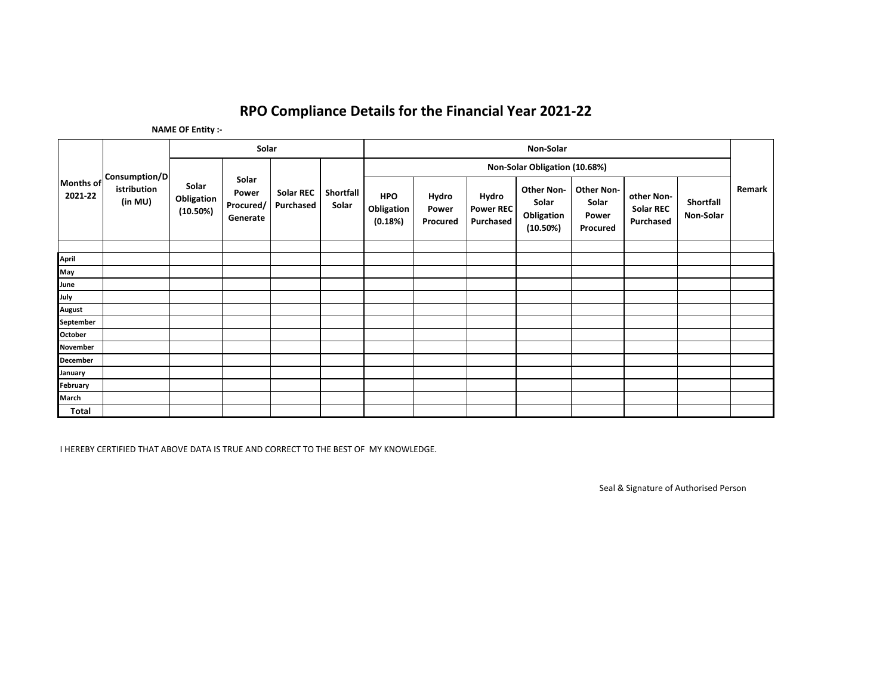## **RPO Compliance Details for the Financial Year 2021-22**

**NAME OF Entity :-**

| Months of<br>2021-22 | <b>Consumption/D</b><br>istribution<br>(in MU) | Solar                           |                                         |                               |                    | Non-Solar                           |                            |                                               |                                                      |                                                 |                                             |                        |        |
|----------------------|------------------------------------------------|---------------------------------|-----------------------------------------|-------------------------------|--------------------|-------------------------------------|----------------------------|-----------------------------------------------|------------------------------------------------------|-------------------------------------------------|---------------------------------------------|------------------------|--------|
|                      |                                                |                                 |                                         | <b>Solar REC</b><br>Purchased | Shortfall<br>Solar | Non-Solar Obligation (10.68%)       |                            |                                               |                                                      |                                                 |                                             |                        |        |
|                      |                                                | Solar<br>Obligation<br>(10.50%) | Solar<br>Power<br>Procured/<br>Generate |                               |                    | <b>HPO</b><br>Obligation<br>(0.18%) | Hydro<br>Power<br>Procured | Hydro<br><b>Power REC</b><br><b>Purchased</b> | <b>Other Non-</b><br>Solar<br>Obligation<br>(10.50%) | <b>Other Non-</b><br>Solar<br>Power<br>Procured | other Non-<br><b>Solar REC</b><br>Purchased | Shortfall<br>Non-Solar | Remark |
|                      |                                                |                                 |                                         |                               |                    |                                     |                            |                                               |                                                      |                                                 |                                             |                        |        |
| April                |                                                |                                 |                                         |                               |                    |                                     |                            |                                               |                                                      |                                                 |                                             |                        |        |
| May                  |                                                |                                 |                                         |                               |                    |                                     |                            |                                               |                                                      |                                                 |                                             |                        |        |
| June                 |                                                |                                 |                                         |                               |                    |                                     |                            |                                               |                                                      |                                                 |                                             |                        |        |
| July                 |                                                |                                 |                                         |                               |                    |                                     |                            |                                               |                                                      |                                                 |                                             |                        |        |
| <b>August</b>        |                                                |                                 |                                         |                               |                    |                                     |                            |                                               |                                                      |                                                 |                                             |                        |        |
| September            |                                                |                                 |                                         |                               |                    |                                     |                            |                                               |                                                      |                                                 |                                             |                        |        |
| October              |                                                |                                 |                                         |                               |                    |                                     |                            |                                               |                                                      |                                                 |                                             |                        |        |
| November             |                                                |                                 |                                         |                               |                    |                                     |                            |                                               |                                                      |                                                 |                                             |                        |        |
| <b>December</b>      |                                                |                                 |                                         |                               |                    |                                     |                            |                                               |                                                      |                                                 |                                             |                        |        |
| January              |                                                |                                 |                                         |                               |                    |                                     |                            |                                               |                                                      |                                                 |                                             |                        |        |
| February             |                                                |                                 |                                         |                               |                    |                                     |                            |                                               |                                                      |                                                 |                                             |                        |        |
| March                |                                                |                                 |                                         |                               |                    |                                     |                            |                                               |                                                      |                                                 |                                             |                        |        |
| Total                |                                                |                                 |                                         |                               |                    |                                     |                            |                                               |                                                      |                                                 |                                             |                        |        |

I HEREBY CERTIFIED THAT ABOVE DATA IS TRUE AND CORRECT TO THE BEST OF MY KNOWLEDGE.

Seal & Signature of Authorised Person